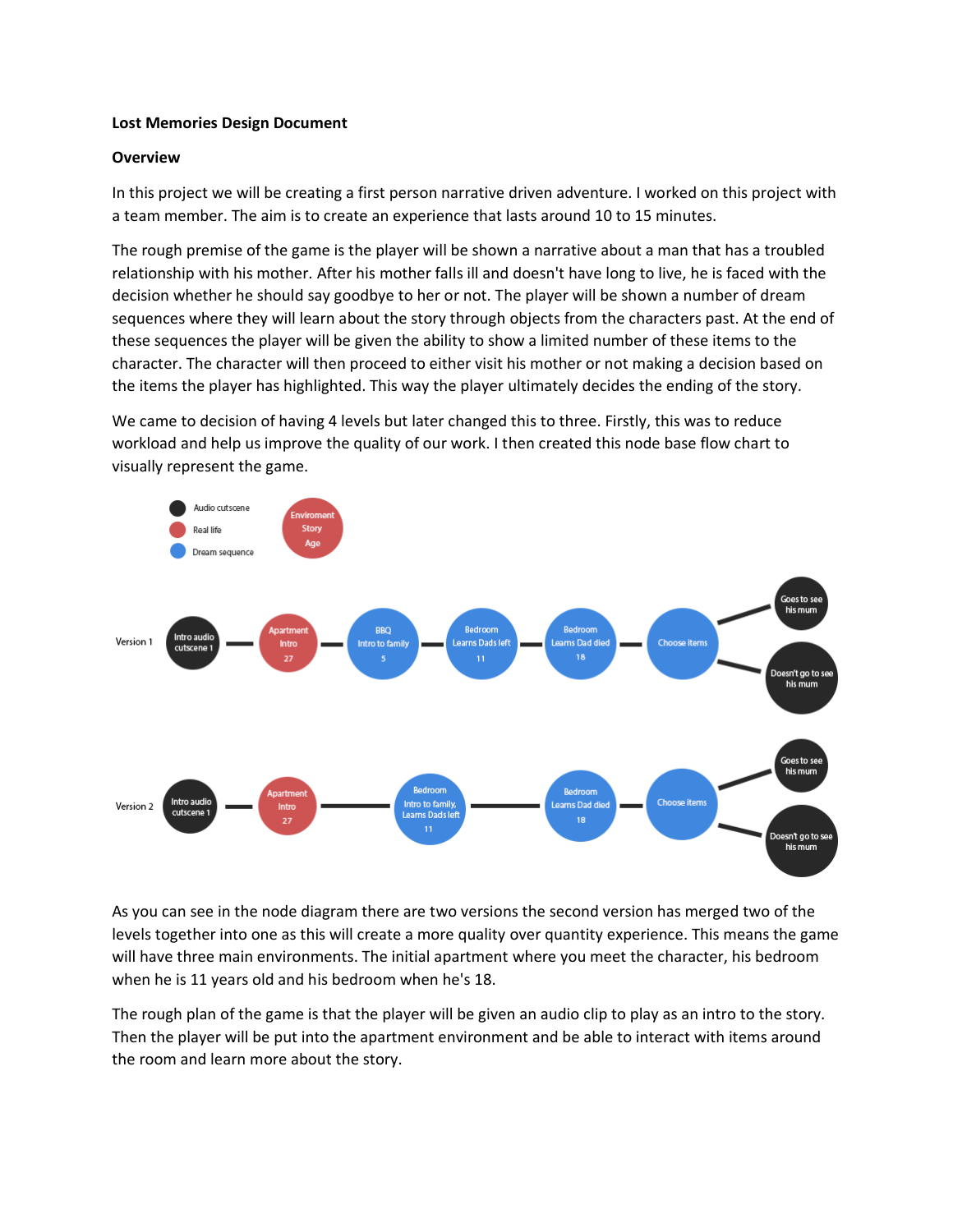#### **Lost Memories Design Document**

#### **Overview**

In this project we will be creating a first person narrative driven adventure. I worked on this project with a team member. The aim is to create an experience that lasts around 10 to 15 minutes.

The rough premise of the game is the player will be shown a narrative about a man that has a troubled relationship with his mother. After his mother falls ill and doesn't have long to live, he is faced with the decision whether he should say goodbye to her or not. The player will be shown a number of dream sequences where they will learn about the story through objects from the characters past. At the end of these sequences the player will be given the ability to show a limited number of these items to the character. The character will then proceed to either visit his mother or not making a decision based on the items the player has highlighted. This way the player ultimately decides the ending of the story.

We came to decision of having 4 levels but later changed this to three. Firstly, this was to reduce workload and help us improve the quality of our work. I then created this node base flow chart to visually represent the game.



As you can see in the node diagram there are two versions the second version has merged two of the levels together into one as this will create a more quality over quantity experience. This means the game will have three main environments. The initial apartment where you meet the character, his bedroom when he is 11 years old and his bedroom when he's 18.

The rough plan of the game is that the player will be given an audio clip to play as an intro to the story. Then the player will be put into the apartment environment and be able to interact with items around the room and learn more about the story.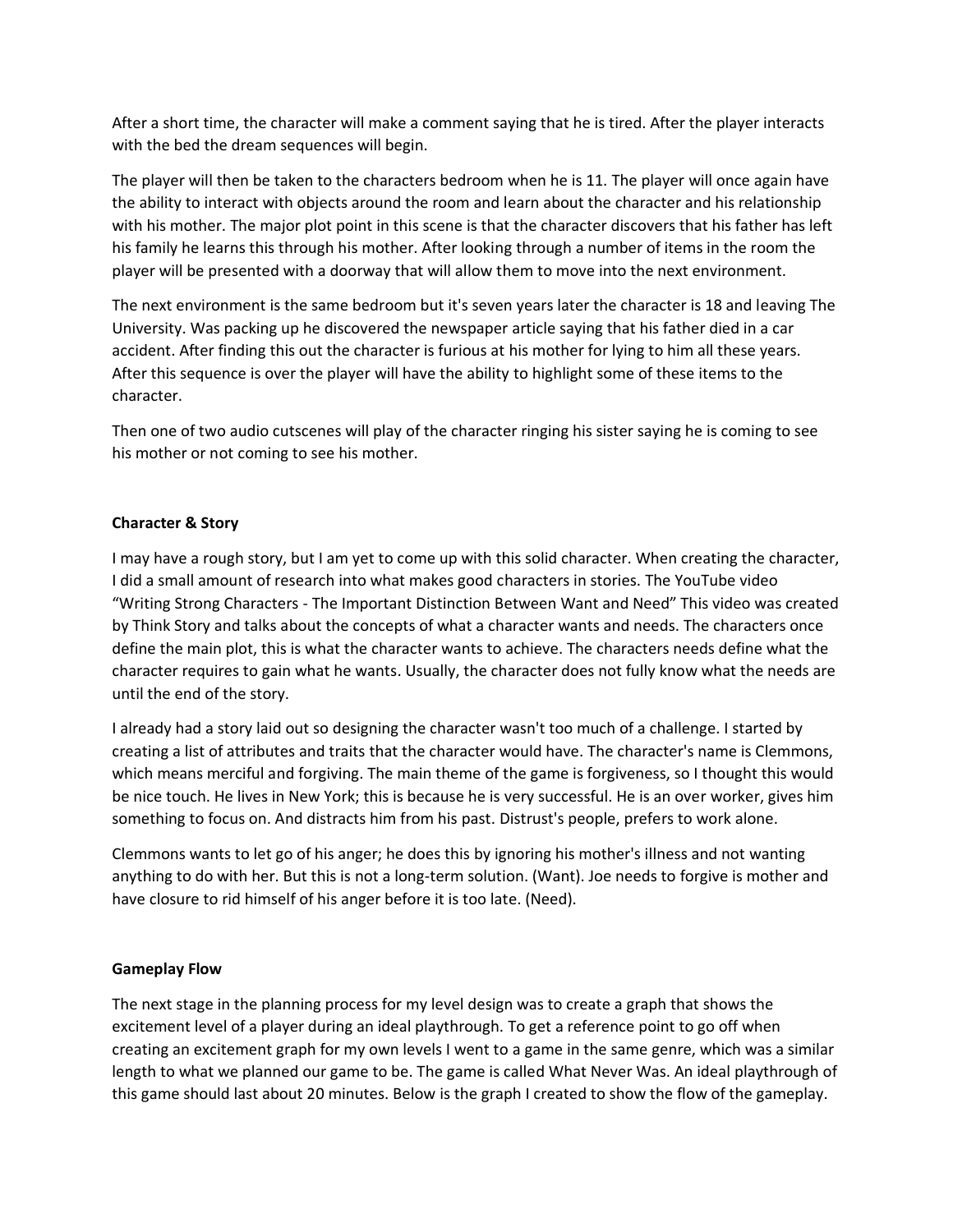After a short time, the character will make a comment saying that he is tired. After the player interacts with the bed the dream sequences will begin.

The player will then be taken to the characters bedroom when he is 11. The player will once again have the ability to interact with objects around the room and learn about the character and his relationship with his mother. The major plot point in this scene is that the character discovers that his father has left his family he learns this through his mother. After looking through a number of items in the room the player will be presented with a doorway that will allow them to move into the next environment.

The next environment is the same bedroom but it's seven years later the character is 18 and leaving The University. Was packing up he discovered the newspaper article saying that his father died in a car accident. After finding this out the character is furious at his mother for lying to him all these years. After this sequence is over the player will have the ability to highlight some of these items to the character.

Then one of two audio cutscenes will play of the character ringing his sister saying he is coming to see his mother or not coming to see his mother.

# **Character & Story**

I may have a rough story, but I am yet to come up with this solid character. When creating the character, I did a small amount of research into what makes good characters in stories. The YouTube video "Writing Strong Characters - The Important Distinction Between Want and Need" This video was created by Think Story and talks about the concepts of what a character wants and needs. The characters once define the main plot, this is what the character wants to achieve. The characters needs define what the character requires to gain what he wants. Usually, the character does not fully know what the needs are until the end of the story.

I already had a story laid out so designing the character wasn't too much of a challenge. I started by creating a list of attributes and traits that the character would have. The character's name is Clemmons, which means merciful and forgiving. The main theme of the game is forgiveness, so I thought this would be nice touch. He lives in New York; this is because he is very successful. He is an over worker, gives him something to focus on. And distracts him from his past. Distrust's people, prefers to work alone.

Clemmons wants to let go of his anger; he does this by ignoring his mother's illness and not wanting anything to do with her. But this is not a long-term solution. (Want). Joe needs to forgive is mother and have closure to rid himself of his anger before it is too late. (Need).

# **Gameplay Flow**

The next stage in the planning process for my level design was to create a graph that shows the excitement level of a player during an ideal playthrough. To get a reference point to go off when creating an excitement graph for my own levels I went to a game in the same genre, which was a similar length to what we planned our game to be. The game is called What Never Was. An ideal playthrough of this game should last about 20 minutes. Below is the graph I created to show the flow of the gameplay.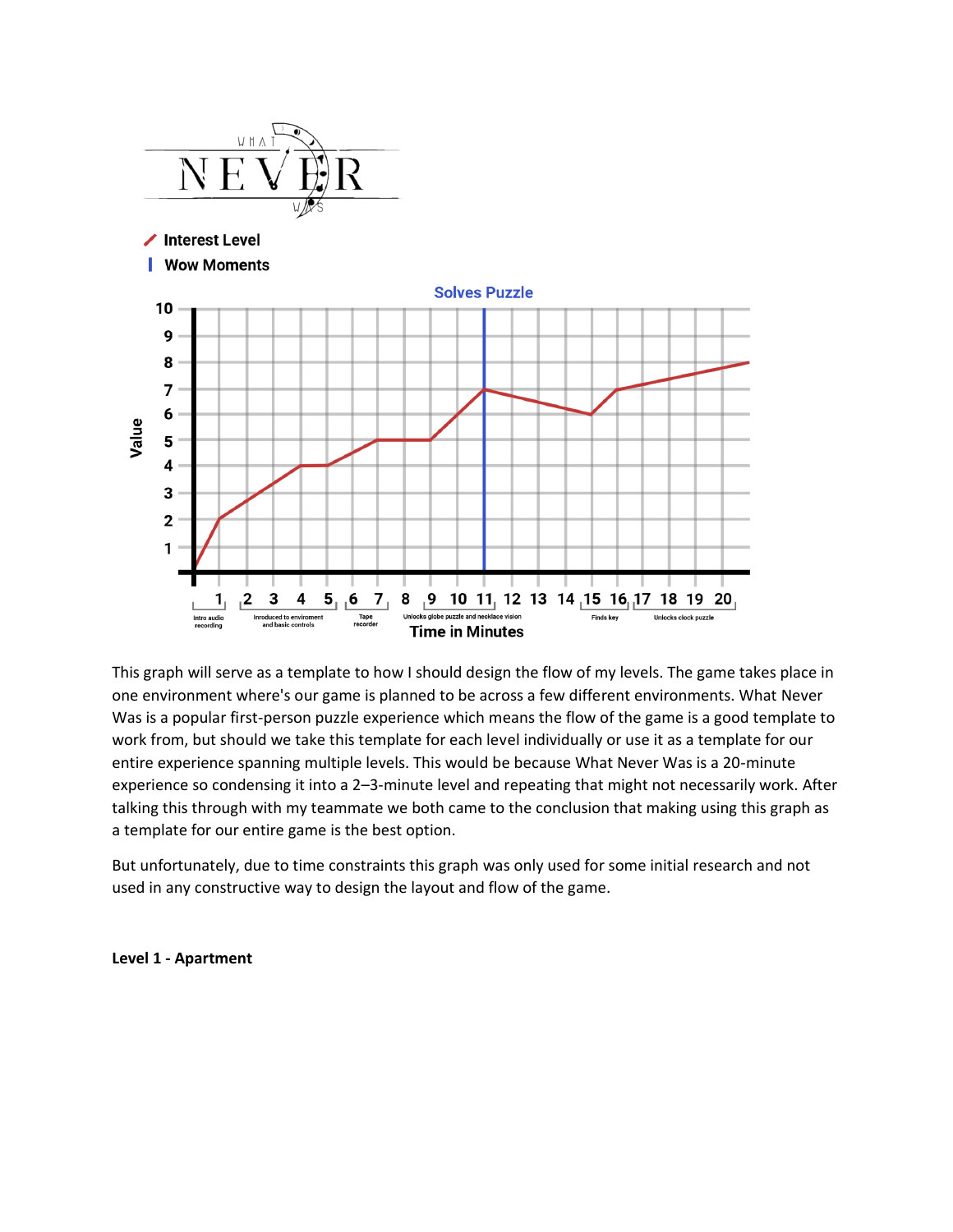

This graph will serve as a template to how I should design the flow of my levels. The game takes place in one environment where's our game is planned to be across a few different environments. What Never Was is a popular first-person puzzle experience which means the flow of the game is a good template to work from, but should we take this template for each level individually or use it as a template for our entire experience spanning multiple levels. This would be because What Never Was is a 20-minute experience so condensing it into a 2–3-minute level and repeating that might not necessarily work. After talking this through with my teammate we both came to the conclusion that making using this graph as a template for our entire game is the best option.

But unfortunately, due to time constraints this graph was only used for some initial research and not used in any constructive way to design the layout and flow of the game.

#### **Level 1 - Apartment**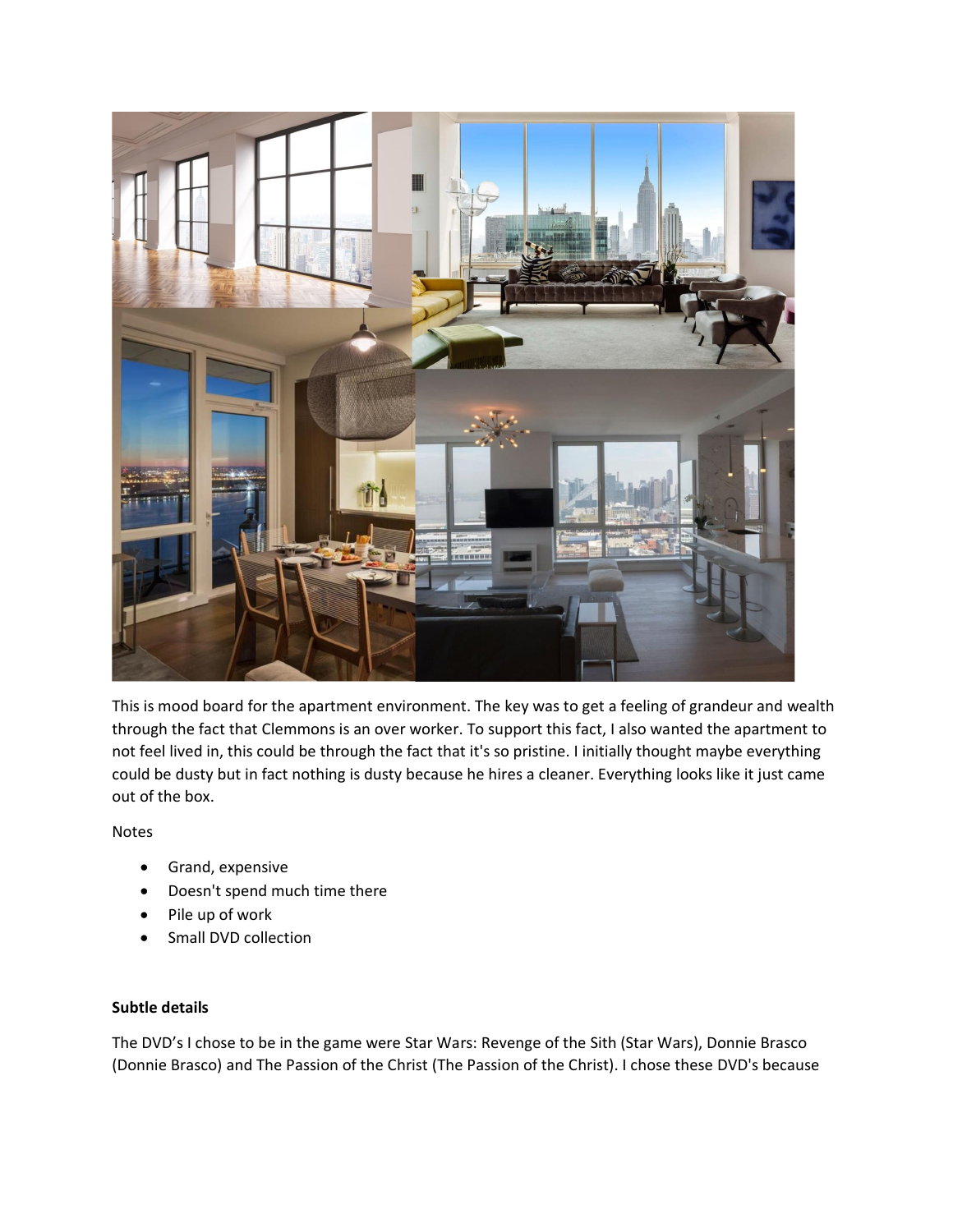

This is mood board for the apartment environment. The key was to get a feeling of grandeur and wealth through the fact that Clemmons is an over worker. To support this fact, I also wanted the apartment to not feel lived in, this could be through the fact that it's so pristine. I initially thought maybe everything could be dusty but in fact nothing is dusty because he hires a cleaner. Everything looks like it just came out of the box.

Notes

- Grand, expensive
- Doesn't spend much time there
- Pile up of work
- Small DVD collection

# **Subtle details**

The DVD's I chose to be in the game were Star Wars: Revenge of the Sith (Star Wars), Donnie Brasco (Donnie Brasco) and The Passion of the Christ (The Passion of the Christ). I chose these DVD's because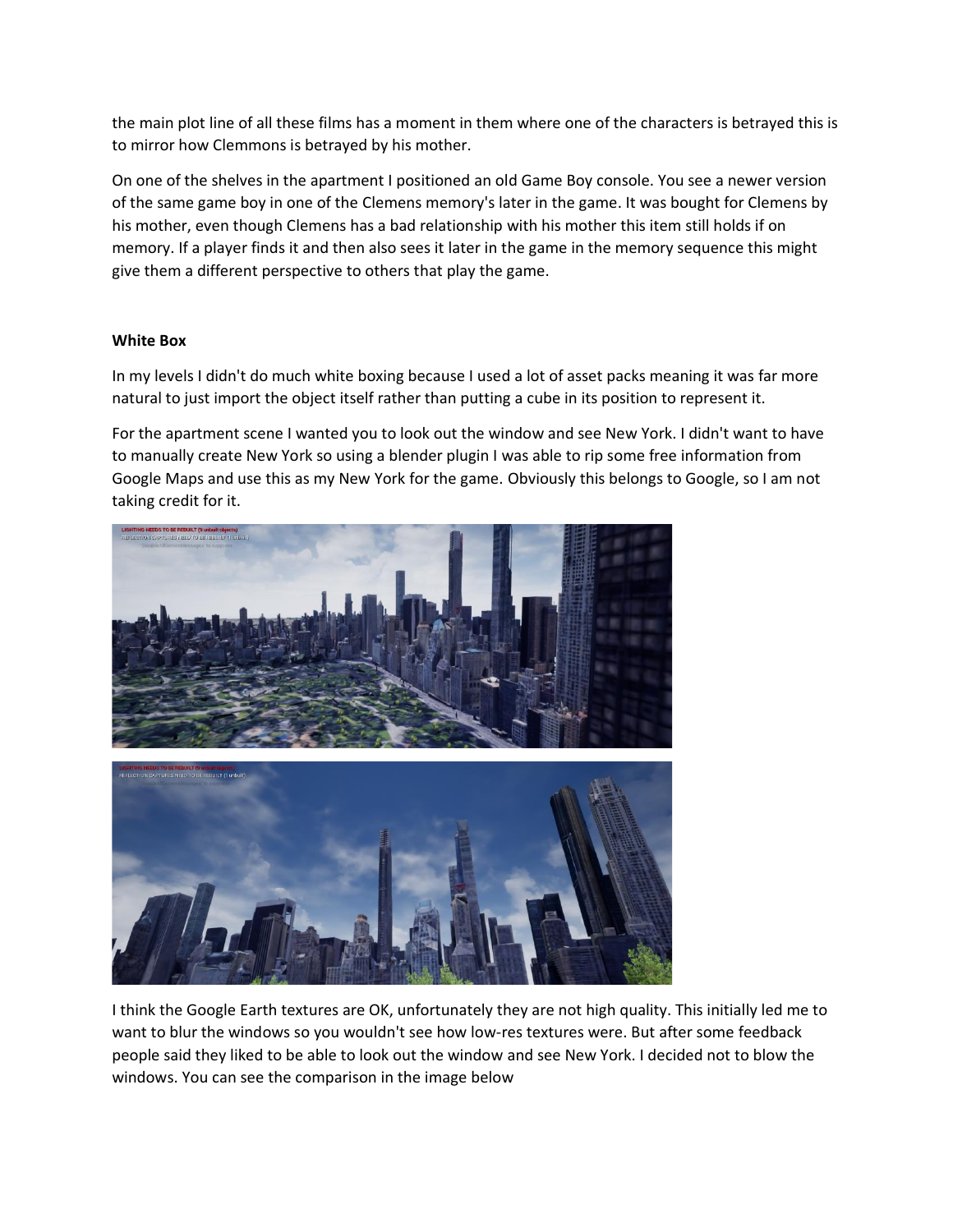the main plot line of all these films has a moment in them where one of the characters is betrayed this is to mirror how Clemmons is betrayed by his mother.

On one of the shelves in the apartment I positioned an old Game Boy console. You see a newer version of the same game boy in one of the Clemens memory's later in the game. It was bought for Clemens by his mother, even though Clemens has a bad relationship with his mother this item still holds if on memory. If a player finds it and then also sees it later in the game in the memory sequence this might give them a different perspective to others that play the game.

# **White Box**

In my levels I didn't do much white boxing because I used a lot of asset packs meaning it was far more natural to just import the object itself rather than putting a cube in its position to represent it.

For the apartment scene I wanted you to look out the window and see New York. I didn't want to have to manually create New York so using a blender plugin I was able to rip some free information from Google Maps and use this as my New York for the game. Obviously this belongs to Google, so I am not taking credit for it.



I think the Google Earth textures are OK, unfortunately they are not high quality. This initially led me to want to blur the windows so you wouldn't see how low-res textures were. But after some feedback people said they liked to be able to look out the window and see New York. I decided not to blow the windows. You can see the comparison in the image below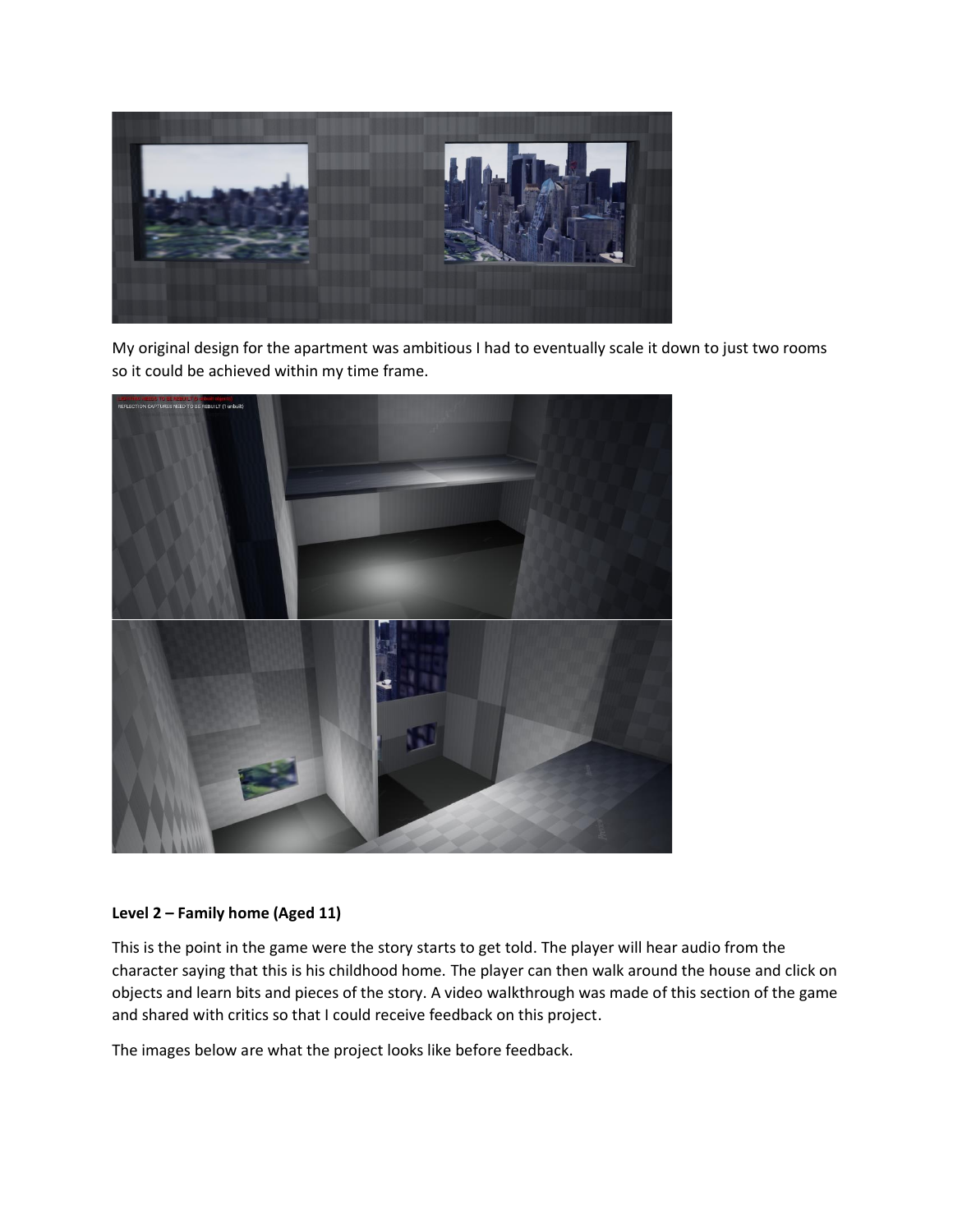

My original design for the apartment was ambitious I had to eventually scale it down to just two rooms so it could be achieved within my time frame.



#### **Level 2 – Family home (Aged 11)**

This is the point in the game were the story starts to get told. The player will hear audio from the character saying that this is his childhood home. The player can then walk around the house and click on objects and learn bits and pieces of the story. A video walkthrough was made of this section of the game and shared with critics so that I could receive feedback on this project.

The images below are what the project looks like before feedback.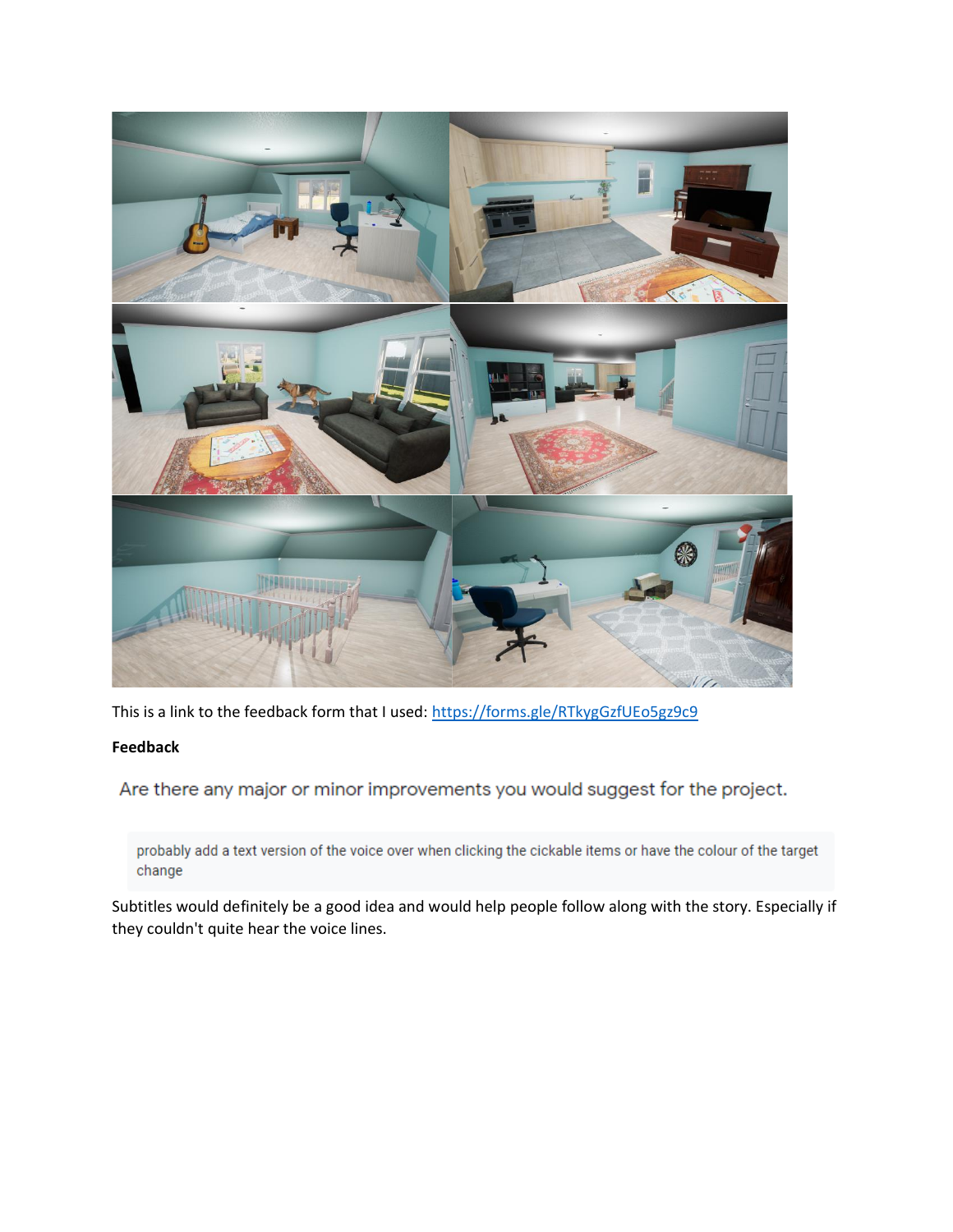

This is a link to the feedback form that I used: <https://forms.gle/RTkygGzfUEo5gz9c9>

# **Feedback**

Are there any major or minor improvements you would suggest for the project.

probably add a text version of the voice over when clicking the cickable items or have the colour of the target change

Subtitles would definitely be a good idea and would help people follow along with the story. Especially if they couldn't quite hear the voice lines.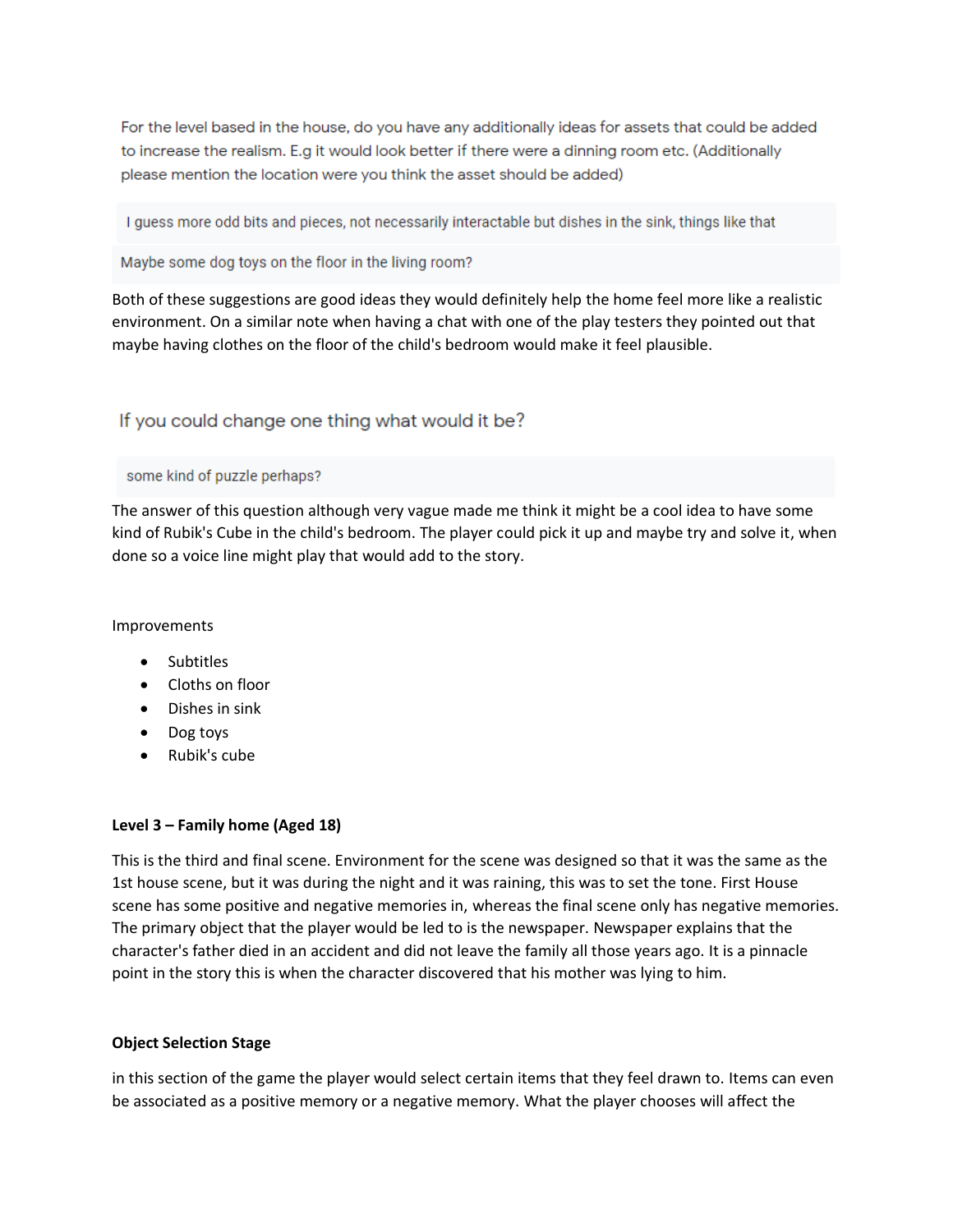For the level based in the house, do you have any additionally ideas for assets that could be added to increase the realism. E.g it would look better if there were a dinning room etc. (Additionally please mention the location were you think the asset should be added)

I guess more odd bits and pieces, not necessarily interactable but dishes in the sink, things like that

Maybe some dog toys on the floor in the living room?

Both of these suggestions are good ideas they would definitely help the home feel more like a realistic environment. On a similar note when having a chat with one of the play testers they pointed out that maybe having clothes on the floor of the child's bedroom would make it feel plausible.

# If you could change one thing what would it be?

#### some kind of puzzle perhaps?

The answer of this question although very vague made me think it might be a cool idea to have some kind of Rubik's Cube in the child's bedroom. The player could pick it up and maybe try and solve it, when done so a voice line might play that would add to the story.

# Improvements

- Subtitles
- Cloths on floor
- Dishes in sink
- Dog toys
- Rubik's cube

# **Level 3 – Family home (Aged 18)**

This is the third and final scene. Environment for the scene was designed so that it was the same as the 1st house scene, but it was during the night and it was raining, this was to set the tone. First House scene has some positive and negative memories in, whereas the final scene only has negative memories. The primary object that the player would be led to is the newspaper. Newspaper explains that the character's father died in an accident and did not leave the family all those years ago. It is a pinnacle point in the story this is when the character discovered that his mother was lying to him.

# **Object Selection Stage**

in this section of the game the player would select certain items that they feel drawn to. Items can even be associated as a positive memory or a negative memory. What the player chooses will affect the